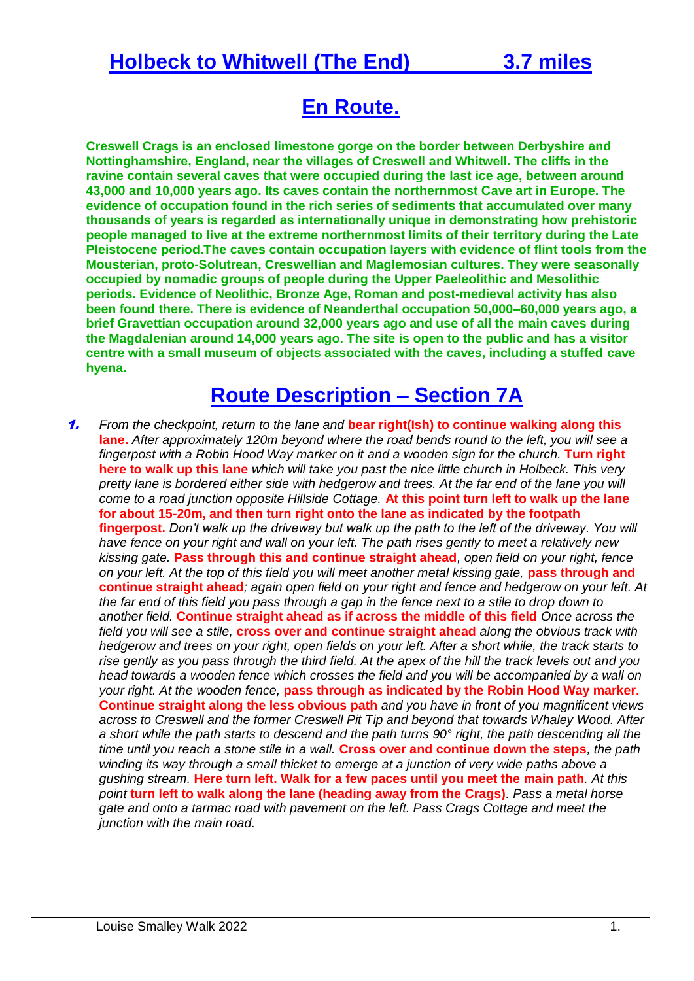#### **Holbeck to Whitwell (The End) 3.7 miles**

## **En Route.**

**Creswell Crags is an enclosed limestone gorge on the border between Derbyshire and Nottinghamshire, England, near the villages of Creswell and [Whitwell.](https://en.wikipedia.org/wiki/Whitwell,_Derbyshire) The cliffs in the ravine contain several caves that were occupied during the last [ice age,](https://en.wikipedia.org/wiki/Ice_age) between around 43,000 and 10,000 years ago. Its caves contain the northernmost Cave art in Europe. The evidence of occupation found in the rich series of sediments that accumulated over many thousands of years is regarded as internationally unique in demonstrating how prehistoric people managed to live at the extreme northernmost limits of their territory during the Late Pleistocene period.The caves contain occupation layers with evidence of flint tools from the [Mousterian,](https://en.wikipedia.org/wiki/Mousterian) proto[-Solutrean,](https://en.wikipedia.org/wiki/Solutrean) Creswellian and Maglemosian cultures. They were seasonally occupied by nomadic groups of people during the Upper Paeleolithic and Mesolithic periods. Evidence of Neolithic, [Bronze Age,](https://en.wikipedia.org/wiki/Bronze_Age) Roman and post-medieval activity has also been found there. There is evidence of Neanderthal occupation 50,000–60,000 years ago, a brief Gravettian occupation around 32,000 years ago and use of all the main caves during the Magdalenian around 14,000 years ago. The site is open to the public and has a visitor centre with a small museum of objects associated with the caves, including a stuffed [cave](https://en.wikipedia.org/wiki/Cave_hyena)  [hyena.](https://en.wikipedia.org/wiki/Cave_hyena)**

### **Route Description – Section 7A**

1. *From the checkpoint, return to the lane and* **bear right(Ish) to continue walking along this lane.** *After approximately 120m beyond where the road bends round to the left, you will see a fingerpost with a Robin Hood Way marker on it and a wooden sign for the church.* **Turn right here to walk up this lane** *which will take you past the nice little church in Holbeck. This very*  pretty lane is bordered either side with hedgerow and trees. At the far end of the lane you will *come to a road junction opposite Hillside Cottage.* **At this point turn left to walk up the lane for about 15-20m, and then turn right onto the lane as indicated by the footpath fingerpost.** *Don't walk up the driveway but walk up the path to the left of the driveway. You will have fence on your right and wall on your left. The path rises gently to meet a relatively new kissing gate.* **Pass through this and continue straight ahead***, open field on your right, fence on your left. At the top of this field you will meet another metal kissing gate,* **pass through and continue straight ahead***; again open field on your right and fence and hedgerow on your left. At the far end of this field you pass through a gap in the fence next to a stile to drop down to another field.* **Continue straight ahead as if across the middle of this field** *Once across the field you will see a stile,* **cross over and continue straight ahead** *along the obvious track with hedgerow and trees on your right, open fields on your left. After a short while, the track starts to rise gently as you pass through the third field. At the apex of the hill the track levels out and you head towards a wooden fence which crosses the field and you will be accompanied by a wall on your right. At the wooden fence,* **pass through as indicated by the Robin Hood Way marker. Continue straight along the less obvious path** *and you have in front of you magnificent views across to Creswell and the former Creswell Pit Tip and beyond that towards Whaley Wood. After a short while the path starts to descend and the path turns 90° right, the path descending all the time until you reach a stone stile in a wall.* **Cross over and continue down the steps***, the path winding its way through a small thicket to emerge at a junction of very wide paths above a gushing stream.* **Here turn left. Walk for a few paces until you meet the main path***. At this point* **turn left to walk along the lane (heading away from the Crags)***. Pass a metal horse gate and onto a tarmac road with pavement on the left. Pass Crags Cottage and meet the junction with the main road.*